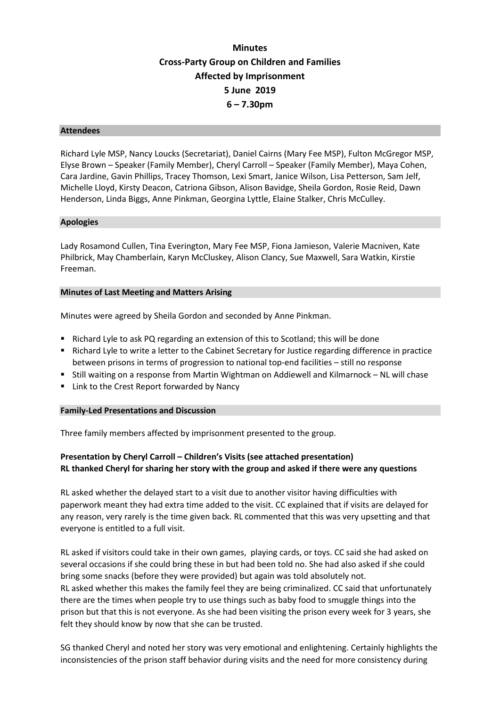# **Minutes Cross-Party Group on Children and Families Affected by Imprisonment 5 June 2019 6 – 7.30pm**

#### **Attendees**

Richard Lyle MSP, Nancy Loucks (Secretariat), Daniel Cairns (Mary Fee MSP), Fulton McGregor MSP, Elyse Brown – Speaker (Family Member), Cheryl Carroll – Speaker (Family Member), Maya Cohen, Cara Jardine, Gavin Phillips, Tracey Thomson, Lexi Smart, Janice Wilson, Lisa Petterson, Sam Jelf, Michelle Lloyd, Kirsty Deacon, Catriona Gibson, Alison Bavidge, Sheila Gordon, Rosie Reid, Dawn Henderson, Linda Biggs, Anne Pinkman, Georgina Lyttle, Elaine Stalker, Chris McCulley.

### **Apologies**

Lady Rosamond Cullen, Tina Everington, Mary Fee MSP, Fiona Jamieson, Valerie Macniven, Kate Philbrick, May Chamberlain, Karyn McCluskey, Alison Clancy, Sue Maxwell, Sara Watkin, Kirstie Freeman.

#### **Minutes of Last Meeting and Matters Arising**

Minutes were agreed by Sheila Gordon and seconded by Anne Pinkman.

- Richard Lyle to ask PQ regarding an extension of this to Scotland; this will be done
- Richard Lyle to write a letter to the Cabinet Secretary for Justice regarding difference in practice between prisons in terms of progression to national top-end facilities – still no response
- Still waiting on a response from Martin Wightman on Addiewell and Kilmarnock NL will chase
- Link to the Crest Report forwarded by Nancy

### **Family-Led Presentations and Discussion**

Three family members affected by imprisonment presented to the group.

## **Presentation by Cheryl Carroll – Children's Visits (see attached presentation) RL thanked Cheryl for sharing her story with the group and asked if there were any questions**

RL asked whether the delayed start to a visit due to another visitor having difficulties with paperwork meant they had extra time added to the visit. CC explained that if visits are delayed for any reason, very rarely is the time given back. RL commented that this was very upsetting and that everyone is entitled to a full visit.

RL asked if visitors could take in their own games, playing cards, or toys. CC said she had asked on several occasions if she could bring these in but had been told no. She had also asked if she could bring some snacks (before they were provided) but again was told absolutely not. RL asked whether this makes the family feel they are being criminalized. CC said that unfortunately there are the times when people try to use things such as baby food to smuggle things into the prison but that this is not everyone. As she had been visiting the prison every week for 3 years, she felt they should know by now that she can be trusted.

SG thanked Cheryl and noted her story was very emotional and enlightening. Certainly highlights the inconsistencies of the prison staff behavior during visits and the need for more consistency during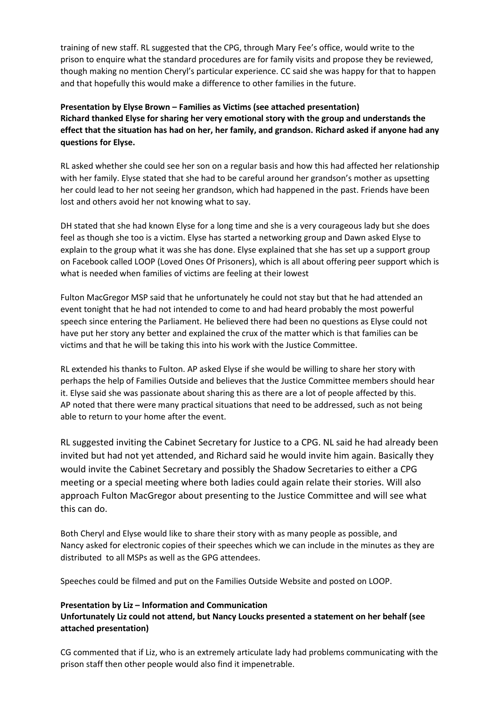training of new staff. RL suggested that the CPG, through Mary Fee's office, would write to the prison to enquire what the standard procedures are for family visits and propose they be reviewed, though making no mention Cheryl's particular experience. CC said she was happy for that to happen and that hopefully this would make a difference to other families in the future.

**Presentation by Elyse Brown – Families as Victims (see attached presentation) Richard thanked Elyse for sharing her very emotional story with the group and understands the** effect that the situation has had on her, her family, and grandson. Richard asked if anyone had any **questions for Elyse.**

RL asked whether she could see her son on a regular basis and how this had affected her relationship with her family. Elyse stated that she had to be careful around her grandson's mother as upsetting her could lead to her not seeing her grandson, which had happened in the past. Friends have been lost and others avoid her not knowing what to say.

DH stated that she had known Elyse for a long time and she is a very courageous lady but she does feel as though she too is a victim. Elyse has started a networking group and Dawn asked Elyse to explain to the group what it was she has done. Elyse explained that she has set up a support group on Facebook called LOOP (Loved Ones Of Prisoners), which is all about offering peer support which is what is needed when families of victims are feeling at their lowest

Fulton MacGregor MSP said that he unfortunately he could not stay but that he had attended an event tonight that he had not intended to come to and had heard probably the most powerful speech since entering the Parliament. He believed there had been no questions as Elyse could not have put her story any better and explained the crux of the matter which is that families can be victims and that he will be taking this into his work with the Justice Committee.

RL extended his thanks to Fulton. AP asked Elyse if she would be willing to share her story with perhaps the help of Families Outside and believes that the Justice Committee members should hear it. Elyse said she was passionate about sharing this as there are a lot of people affected by this. AP noted that there were many practical situations that need to be addressed, such as not being able to return to your home after the event.

RL suggested inviting the Cabinet Secretary for Justice to a CPG. NL said he had already been invited but had not yet attended, and Richard said he would invite him again. Basically they would invite the Cabinet Secretary and possibly the Shadow Secretaries to either a CPG meeting or a special meeting where both ladies could again relate their stories. Will also approach Fulton MacGregor about presenting to the Justice Committee and will see what this can do.

Both Cheryl and Elyse would like to share their story with as many people as possible, and Nancy asked for electronic copies of their speeches which we can include in the minutes as they are distributed to all MSPs as well as the GPG attendees.

Speeches could be filmed and put on the Families Outside Website and posted on LOOP.

### **Presentation by Liz – Information and Communication Unfortunately Liz could not attend, but Nancy Loucks presented a statement on her behalf (see attached presentation)**

CG commented that if Liz, who is an extremely articulate lady had problems communicating with the prison staff then other people would also find it impenetrable.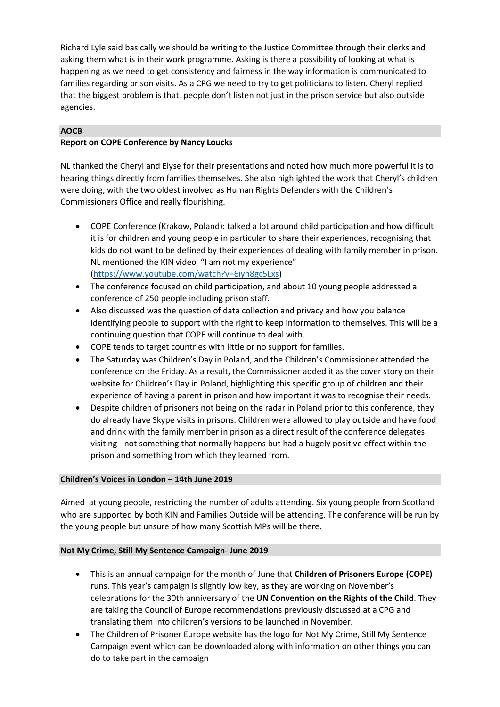Richard Lyle said basically we should be writing to the Justice Committee through their clerks and asking them what is in their work programme. Asking is there a possibility of looking at what is happening as we need to get consistency and fairness in the way information is communicated to families regarding prison visits. As a CPG we need to try to get politicians to listen. Cheryl replied that the biggest problem is that, people don't listen not just in the prison service but also outside agencies.

# **AOCB**

### **Report on COPE Conference by Nancy Loucks**

NL thanked the Cheryl and Elyse for their presentations and noted how much more powerful it is to hearing things directly from families themselves. She also highlighted the work that Cheryl's children were doing, with the two oldest involved as Human Rights Defenders with the Children's Commissioners Office and really flourishing.

- COPE Conference (Krakow, Poland): talked a lot around child participation and how difficult it is for children and young people in particular to share their experiences, recognising that kids do not want to be defined by their experiences of dealing with family member in prison. NL mentioned the KIN video "I am not my experience" [\(https://www.youtube.com/watch?v=6iyn8gc5Lxs\)](https://www.youtube.com/watch?v=6iyn8gc5Lxs)
- The conference focused on child participation, and about 10 young people addressed a conference of 250 people including prison staff.
- Also discussed was the question of data collection and privacy and how you balance identifying people to support with the right to keep information to themselves. This will be a continuing question that COPE will continue to deal with.
- COPE tends to target countries with little or no support for families.
- The Saturday was Children's Day in Poland, and the Children's Commissioner attended the conference on the Friday. As a result, the Commissioner added it as the cover story on their website for Children's Day in Poland, highlighting this specific group of children and their experience of having a parent in prison and how important it was to recognise their needs.
- Despite children of prisoners not being on the radar in Poland prior to this conference, they do already have Skype visits in prisons. Children were allowed to play outside and have food and drink with the family member in prison as a direct result of the conference delegates visiting - not something that normally happens but had a hugely positive effect within the prison and something from which they learned from.

### **Children's Voices in London – 14th June 2019**

Aimed at young people, restricting the number of adults attending. Six young people from Scotland who are supported by both KIN and Families Outside will be attending. The conference will be run by the young people but unsure of how many Scottish MPs will be there.

### **Not My Crime, Still My Sentence Campaign- June 2019**

- This is an annual campaign for the month of June that **Children of Prisoners Europe (COPE)** runs. This year's campaign is slightly low key, as they are working on November's celebrations for the 30th anniversary of the **UN Convention on the Rights of the Child**. They are taking the Council of Europe recommendations previously discussed at a CPG and translating them into children's versions to be launched in November.
- The Children of Prisoner Europe website has the logo for Not My Crime, Still My Sentence Campaign event which can be downloaded along with information on other things you can do to take part in the campaign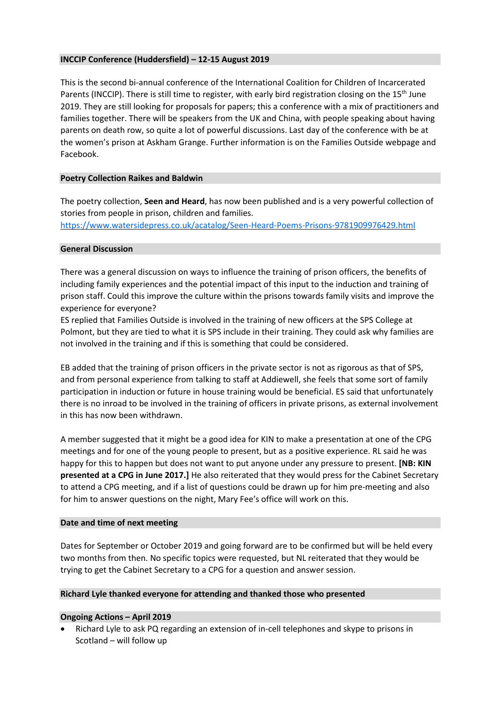### **INCCIP Conference (Huddersfield) – 12-15 August 2019**

This is the second bi-annual conference of the International Coalition for Children of Incarcerated Parents (INCCIP). There is still time to register, with early bird registration closing on the 15<sup>th</sup> June 2019. They are still looking for proposals for papers; this a conference with a mix of practitioners and families together. There will be speakers from the UK and China, with people speaking about having parents on death row, so quite a lot of powerful discussions. Last day of the conference with be at the women's prison at Askham Grange. Further information is on the Families Outside webpage and Facebook.

### **Poetry Collection Raikes and Baldwin**

The poetry collection, **Seen and Heard**, has now been published and is a very powerful collection of stories from people in prison, children and families.

<https://www.watersidepress.co.uk/acatalog/Seen-Heard-Poems-Prisons-9781909976429.html>

### **General Discussion**

There was a general discussion on ways to influence the training of prison officers, the benefits of including family experiences and the potential impact of this input to the induction and training of prison staff. Could this improve the culture within the prisons towards family visits and improve the experience for everyone?

ES replied that Families Outside is involved in the training of new officers at the SPS College at Polmont, but they are tied to what it is SPS include in their training. They could ask why families are not involved in the training and if this is something that could be considered.

EB added that the training of prison officers in the private sector is not as rigorous as that of SPS, and from personal experience from talking to staff at Addiewell, she feels that some sort of family participation in induction or future in house training would be beneficial. ES said that unfortunately there is no inroad to be involved in the training of officers in private prisons, as external involvement in this has now been withdrawn.

A member suggested that it might be a good idea for KIN to make a presentation at one of the CPG meetings and for one of the young people to present, but as a positive experience. RL said he was happy for this to happen but does not want to put anyone under any pressure to present. **[NB: KIN presented at a CPG in June 2017.]** He also reiterated that they would press for the Cabinet Secretary to attend a CPG meeting, and if a list of questions could be drawn up for him pre-meeting and also for him to answer questions on the night, Mary Fee's office will work on this.

### **Date and time of next meeting**

Dates for September or October 2019 and going forward are to be confirmed but will be held every two months from then. No specific topics were requested, but NL reiterated that they would be trying to get the Cabinet Secretary to a CPG for a question and answer session.

### **Richard Lyle thanked everyone for attending and thanked those who presented**

### **Ongoing Actions – April 2019**

• Richard Lyle to ask PQ regarding an extension of in-cell telephones and skype to prisons in Scotland – will follow up